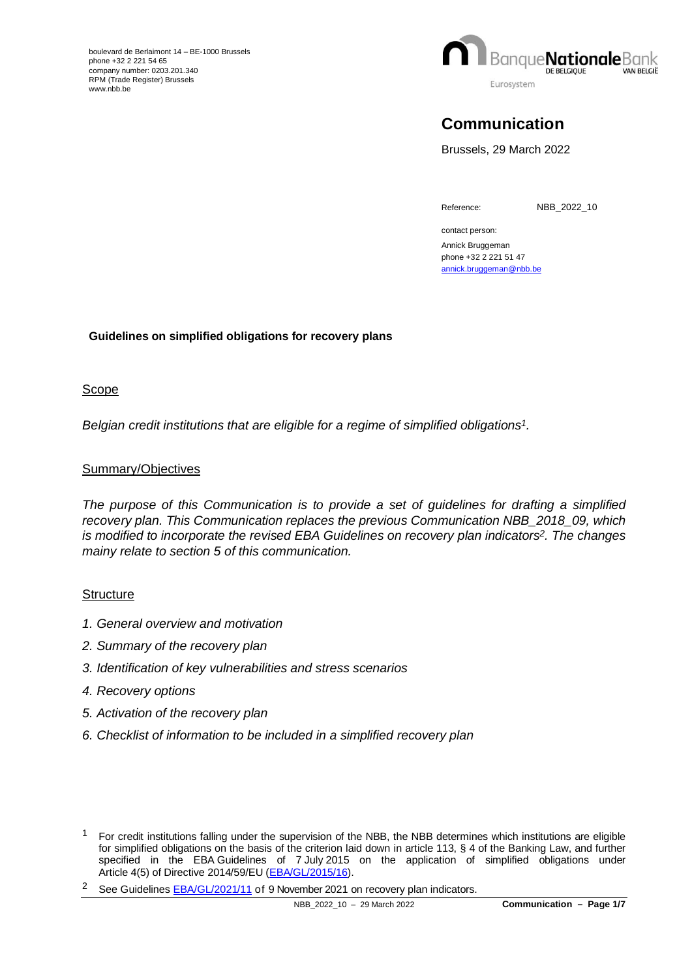

# **Communication**

Brussels, 29 March 2022

Reference: NBB\_2022\_10

contact person: Annick Bruggeman phone +32 2 221 51 47 [annick.bruggeman@nbb.be](mailto:annick.bruggeman@nbb.be)

### **Guidelines on simplified obligations for recovery plans**

Scope

*Belgian credit institutions that are eligible for a regime of simplified obligations[1](#page-0-0).*

### Summary/Objectives

*The purpose of this Communication is to provide a set of guidelines for drafting a simplified recovery plan. This Communication replaces the previous Communication NBB\_2018\_09, which is modified to incorporate the revised EBA Guidelines on recovery plan indicators[2](#page-0-1). The changes mainy relate to section 5 of this communication.*

#### **Structure**

- *1. General overview and motivation*
- *2. Summary of the recovery plan*
- *3. Identification of key vulnerabilities and stress scenarios*
- *4. Recovery options*
- *5. Activation of the recovery plan*
- *6. Checklist of information to be included in a simplified recovery plan*

<span id="page-0-1"></span><sup>2</sup> See Guidelines [EBA/GL/2021/11](https://www.eba.europa.eu/sites/default/documents/files/document_library/Publications/Guidelines/2021/EBA-GL-2021-11%20Guidelines%20on%20recovery%20plan%20indicators%20/1023794/Final%20Report%20on%20Guidelines%20on%20recovery%20plan%20indicators.pdf) of 9 November 2021 on recovery plan indicators.

<span id="page-0-0"></span><sup>1</sup> For credit institutions falling under the supervision of the NBB, the NBB determines which institutions are eligible for simplified obligations on the basis of the criterion laid down in article 113, § 4 of the Banking Law, and further specified in the EBA Guidelines of 7 July 2015 on the application of simplified obligations under Article 4(5) of Directive 2014/59/[EU \(EBA/GL/2015](https://www.eba.europa.eu/sites/default/documents/files/documents/10180/1135541/b8fab3b8-42b1-4f26-b4ed-c8308ba85f42/EBA-GL-2015-16%20Guidelines%20on%20simplified%20obligations.pdf?retry=1)/16).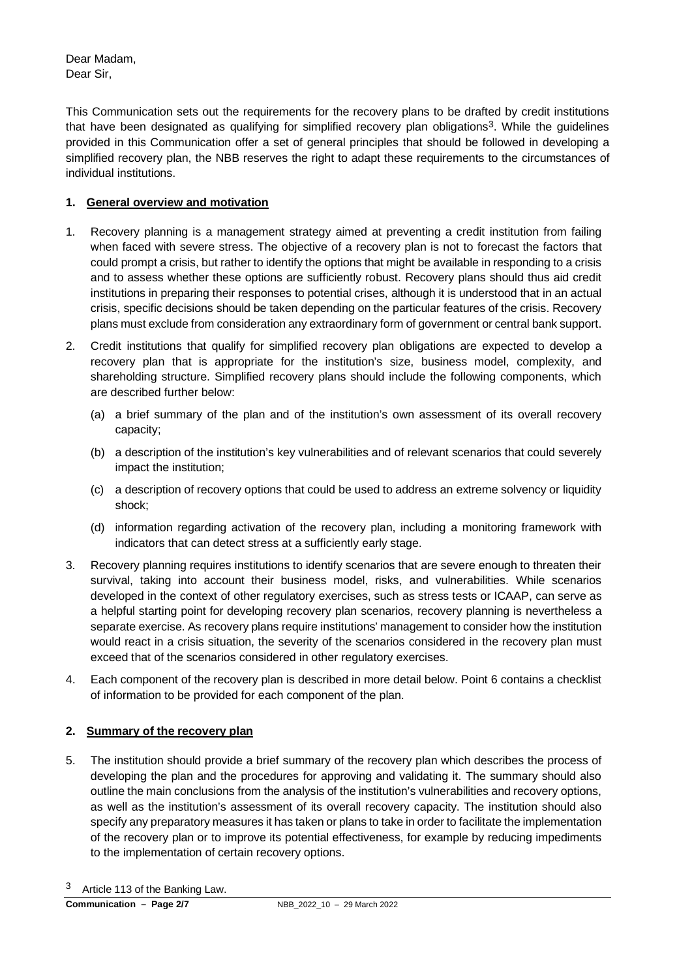Dear Madam, Dear Sir,

This Communication sets out the requirements for the recovery plans to be drafted by credit institutions that have been designated as qualifying for simplified recovery plan obligations[3](#page-1-0). While the guidelines provided in this Communication offer a set of general principles that should be followed in developing a simplified recovery plan, the NBB reserves the right to adapt these requirements to the circumstances of individual institutions.

# **1. General overview and motivation**

- 1. Recovery planning is a management strategy aimed at preventing a credit institution from failing when faced with severe stress. The objective of a recovery plan is not to forecast the factors that could prompt a crisis, but rather to identify the options that might be available in responding to a crisis and to assess whether these options are sufficiently robust. Recovery plans should thus aid credit institutions in preparing their responses to potential crises, although it is understood that in an actual crisis, specific decisions should be taken depending on the particular features of the crisis. Recovery plans must exclude from consideration any extraordinary form of government or central bank support.
- 2. Credit institutions that qualify for simplified recovery plan obligations are expected to develop a recovery plan that is appropriate for the institution's size, business model, complexity, and shareholding structure. Simplified recovery plans should include the following components, which are described further below:
	- (a) a brief summary of the plan and of the institution's own assessment of its overall recovery capacity;
	- (b) a description of the institution's key vulnerabilities and of relevant scenarios that could severely impact the institution;
	- (c) a description of recovery options that could be used to address an extreme solvency or liquidity shock;
	- (d) information regarding activation of the recovery plan, including a monitoring framework with indicators that can detect stress at a sufficiently early stage.
- 3. Recovery planning requires institutions to identify scenarios that are severe enough to threaten their survival, taking into account their business model, risks, and vulnerabilities. While scenarios developed in the context of other regulatory exercises, such as stress tests or ICAAP, can serve as a helpful starting point for developing recovery plan scenarios, recovery planning is nevertheless a separate exercise. As recovery plans require institutions' management to consider how the institution would react in a crisis situation, the severity of the scenarios considered in the recovery plan must exceed that of the scenarios considered in other regulatory exercises.
- 4. Each component of the recovery plan is described in more detail below. Point 6 contains a checklist of information to be provided for each component of the plan.

# **2. Summary of the recovery plan**

<span id="page-1-0"></span>5. The institution should provide a brief summary of the recovery plan which describes the process of developing the plan and the procedures for approving and validating it. The summary should also outline the main conclusions from the analysis of the institution's vulnerabilities and recovery options, as well as the institution's assessment of its overall recovery capacity. The institution should also specify any preparatory measures it has taken or plans to take in order to facilitate the implementation of the recovery plan or to improve its potential effectiveness, for example by reducing impediments to the implementation of certain recovery options.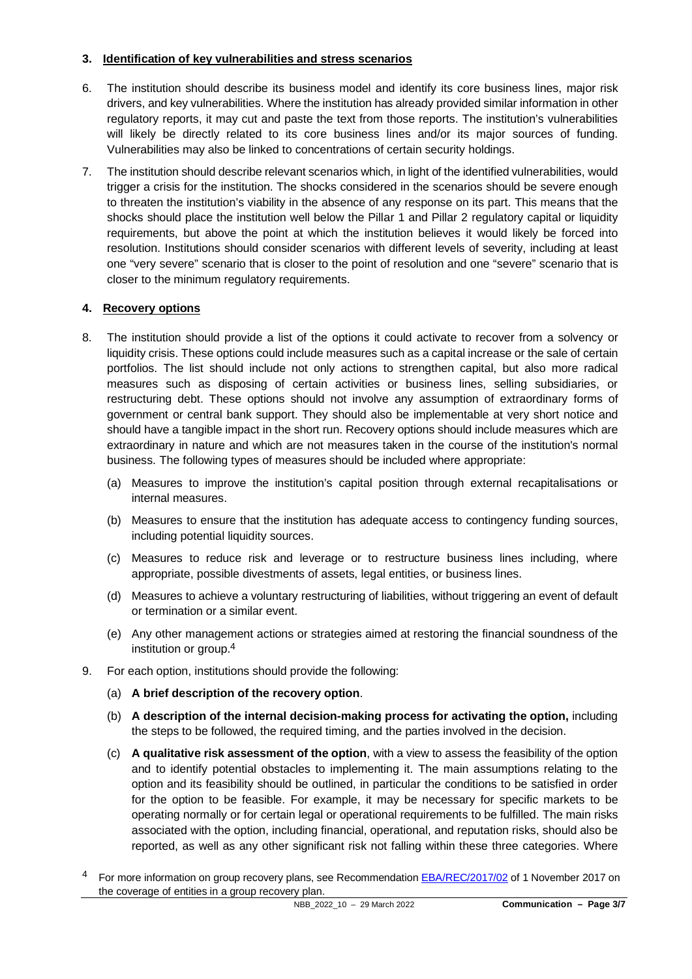### **3. Identification of key vulnerabilities and stress scenarios**

- 6. The institution should describe its business model and identify its core business lines, major risk drivers, and key vulnerabilities. Where the institution has already provided similar information in other regulatory reports, it may cut and paste the text from those reports. The institution's vulnerabilities will likely be directly related to its core business lines and/or its major sources of funding. Vulnerabilities may also be linked to concentrations of certain security holdings.
- 7. The institution should describe relevant scenarios which, in light of the identified vulnerabilities, would trigger a crisis for the institution. The shocks considered in the scenarios should be severe enough to threaten the institution's viability in the absence of any response on its part. This means that the shocks should place the institution well below the Pillar 1 and Pillar 2 regulatory capital or liquidity requirements, but above the point at which the institution believes it would likely be forced into resolution. Institutions should consider scenarios with different levels of severity, including at least one "very severe" scenario that is closer to the point of resolution and one "severe" scenario that is closer to the minimum regulatory requirements.

# **4. Recovery options**

- 8. The institution should provide a list of the options it could activate to recover from a solvency or liquidity crisis. These options could include measures such as a capital increase or the sale of certain portfolios. The list should include not only actions to strengthen capital, but also more radical measures such as disposing of certain activities or business lines, selling subsidiaries, or restructuring debt. These options should not involve any assumption of extraordinary forms of government or central bank support. They should also be implementable at very short notice and should have a tangible impact in the short run. Recovery options should include measures which are extraordinary in nature and which are not measures taken in the course of the institution's normal business. The following types of measures should be included where appropriate:
	- (a) Measures to improve the institution's capital position through external recapitalisations or internal measures.
	- (b) Measures to ensure that the institution has adequate access to contingency funding sources, including potential liquidity sources.
	- (c) Measures to reduce risk and leverage or to restructure business lines including, where appropriate, possible divestments of assets, legal entities, or business lines.
	- (d) Measures to achieve a voluntary restructuring of liabilities, without triggering an event of default or termination or a similar event.
	- (e) Any other management actions or strategies aimed at restoring the financial soundness of the institution or group.[4](#page-2-0)
- 9. For each option, institutions should provide the following:
	- (a) **A brief description of the recovery option**.
	- (b) **A description of the internal decision-making process for activating the option,** including the steps to be followed, the required timing, and the parties involved in the decision.
	- (c) **A qualitative risk assessment of the option**, with a view to assess the feasibility of the option and to identify potential obstacles to implementing it. The main assumptions relating to the option and its feasibility should be outlined, in particular the conditions to be satisfied in order for the option to be feasible. For example, it may be necessary for specific markets to be operating normally or for certain legal or operational requirements to be fulfilled. The main risks associated with the option, including financial, operational, and reputation risks, should also be reported, as well as any other significant risk not falling within these three categories. Where
- <span id="page-2-0"></span>4 For more information on group recovery plans, see Recommendation [EBA/REC/2017/02](https://www.eba.europa.eu/sites/default/documents/files/documents/10180/1770344/1fb547a6-2bbc-4487-9cc7-79a5318bfde2/EBA-Rec-2017-02%20%28Recommendation%20on%20coverage%20of%20entities%20in%20group%20recovery%20plans%29.pdf?retry=1) of 1 November 2017 on the coverage of entities in a group recovery plan.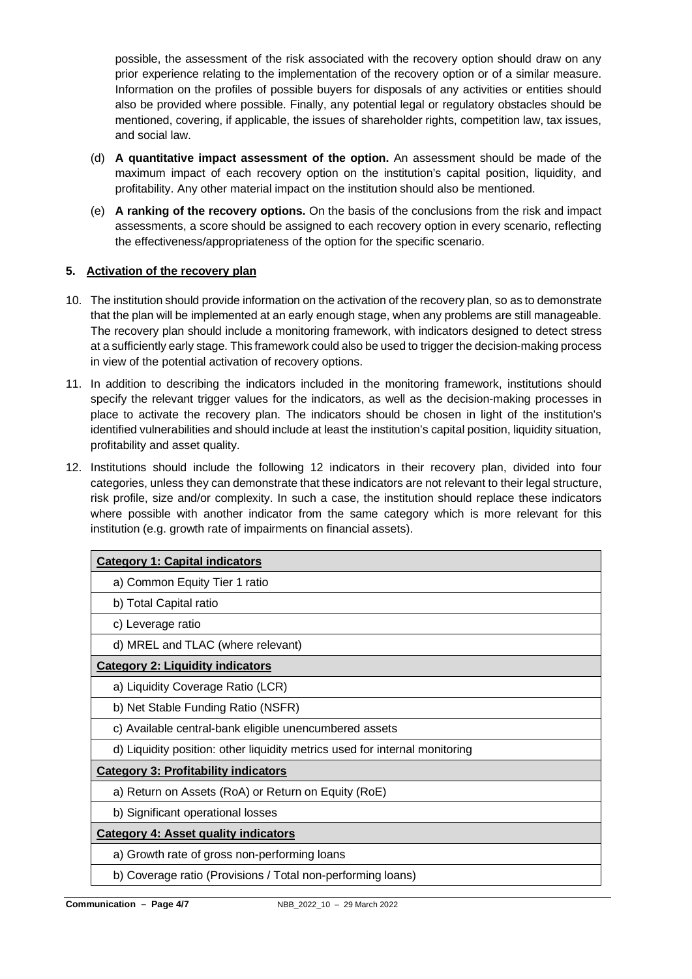possible, the assessment of the risk associated with the recovery option should draw on any prior experience relating to the implementation of the recovery option or of a similar measure. Information on the profiles of possible buyers for disposals of any activities or entities should also be provided where possible. Finally, any potential legal or regulatory obstacles should be mentioned, covering, if applicable, the issues of shareholder rights, competition law, tax issues, and social law.

- (d) **A quantitative impact assessment of the option.** An assessment should be made of the maximum impact of each recovery option on the institution's capital position, liquidity, and profitability. Any other material impact on the institution should also be mentioned.
- (e) **A ranking of the recovery options.** On the basis of the conclusions from the risk and impact assessments, a score should be assigned to each recovery option in every scenario, reflecting the effectiveness/appropriateness of the option for the specific scenario.

# **5. Activation of the recovery plan**

- 10. The institution should provide information on the activation of the recovery plan, so as to demonstrate that the plan will be implemented at an early enough stage, when any problems are still manageable. The recovery plan should include a monitoring framework, with indicators designed to detect stress at a sufficiently early stage. This framework could also be used to trigger the decision-making process in view of the potential activation of recovery options.
- 11. In addition to describing the indicators included in the monitoring framework, institutions should specify the relevant trigger values for the indicators, as well as the decision-making processes in place to activate the recovery plan. The indicators should be chosen in light of the institution's identified vulnerabilities and should include at least the institution's capital position, liquidity situation, profitability and asset quality.
- 12. Institutions should include the following 12 indicators in their recovery plan, divided into four categories, unless they can demonstrate that these indicators are not relevant to their legal structure, risk profile, size and/or complexity. In such a case, the institution should replace these indicators where possible with another indicator from the same category which is more relevant for this institution (e.g. growth rate of impairments on financial assets).

| <b>Category 1: Capital indicators</b>                                       |  |
|-----------------------------------------------------------------------------|--|
| a) Common Equity Tier 1 ratio                                               |  |
| b) Total Capital ratio                                                      |  |
| c) Leverage ratio                                                           |  |
| d) MREL and TLAC (where relevant)                                           |  |
| <b>Category 2: Liquidity indicators</b>                                     |  |
| a) Liquidity Coverage Ratio (LCR)                                           |  |
| b) Net Stable Funding Ratio (NSFR)                                          |  |
| c) Available central-bank eligible unencumbered assets                      |  |
| d) Liquidity position: other liquidity metrics used for internal monitoring |  |
| <b>Category 3: Profitability indicators</b>                                 |  |
| a) Return on Assets (RoA) or Return on Equity (RoE)                         |  |
| b) Significant operational losses                                           |  |
| <b>Category 4: Asset quality indicators</b>                                 |  |
| a) Growth rate of gross non-performing loans                                |  |
| b) Coverage ratio (Provisions / Total non-performing loans)                 |  |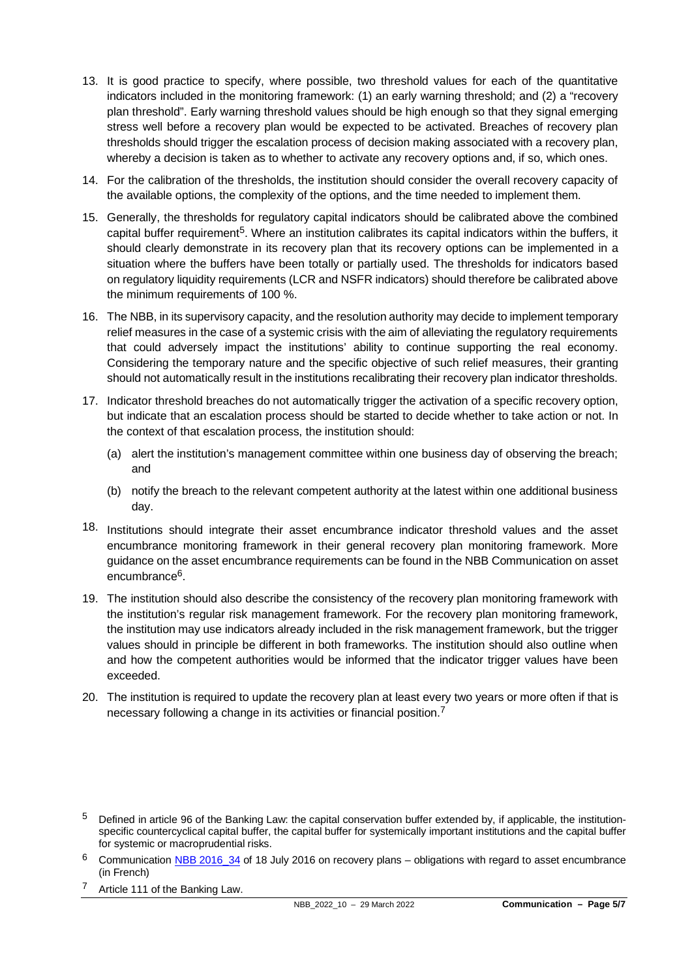- 13. It is good practice to specify, where possible, two threshold values for each of the quantitative indicators included in the monitoring framework: (1) an early warning threshold; and (2) a "recovery plan threshold". Early warning threshold values should be high enough so that they signal emerging stress well before a recovery plan would be expected to be activated. Breaches of recovery plan thresholds should trigger the escalation process of decision making associated with a recovery plan, whereby a decision is taken as to whether to activate any recovery options and, if so, which ones.
- 14. For the calibration of the thresholds, the institution should consider the overall recovery capacity of the available options, the complexity of the options, and the time needed to implement them.
- 15. Generally, the thresholds for regulatory capital indicators should be calibrated above the combined capital buffer requirement<sup>[5](#page-4-0)</sup>. Where an institution calibrates its capital indicators within the buffers, it should clearly demonstrate in its recovery plan that its recovery options can be implemented in a situation where the buffers have been totally or partially used. The thresholds for indicators based on regulatory liquidity requirements (LCR and NSFR indicators) should therefore be calibrated above the minimum requirements of 100 %.
- 16. The NBB, in its supervisory capacity, and the resolution authority may decide to implement temporary relief measures in the case of a systemic crisis with the aim of alleviating the regulatory requirements that could adversely impact the institutions' ability to continue supporting the real economy. Considering the temporary nature and the specific objective of such relief measures, their granting should not automatically result in the institutions recalibrating their recovery plan indicator thresholds.
- 17. Indicator threshold breaches do not automatically trigger the activation of a specific recovery option, but indicate that an escalation process should be started to decide whether to take action or not. In the context of that escalation process, the institution should:
	- (a) alert the institution's management committee within one business day of observing the breach; and
	- (b) notify the breach to the relevant competent authority at the latest within one additional business day.
- 18. Institutions should integrate their asset encumbrance indicator threshold values and the asset encumbrance monitoring framework in their general recovery plan monitoring framework. More guidance on the asset encumbrance requirements can be found in the NBB Communication on asset encumbrance<sup>[6](#page-4-1)</sup>.
- 19. The institution should also describe the consistency of the recovery plan monitoring framework with the institution's regular risk management framework. For the recovery plan monitoring framework, the institution may use indicators already included in the risk management framework, but the trigger values should in principle be different in both frameworks. The institution should also outline when and how the competent authorities would be informed that the indicator trigger values have been exceeded.
- 20. The institution is required to update the recovery plan at least every two years or more often if that is necessary following a change in its activities or financial position.[7](#page-4-2)

<span id="page-4-2"></span>Article 111 of the Banking Law.

<span id="page-4-0"></span> $5$  Defined in article 96 of the Banking Law: the capital conservation buffer extended by, if applicable, the institutionspecific countercyclical capital buffer, the capital buffer for systemically important institutions and the capital buffer for systemic or macroprudential risks.

<span id="page-4-1"></span><sup>&</sup>lt;sup>6</sup> Communication [NBB 2016\\_34](https://www.nbb.be/en/articles/communication-nbb201634-plans-de-redressement-obligations-en-matiere-dactifs-greves) of 18 July 2016 on recovery plans – obligations with regard to asset encumbrance (in French)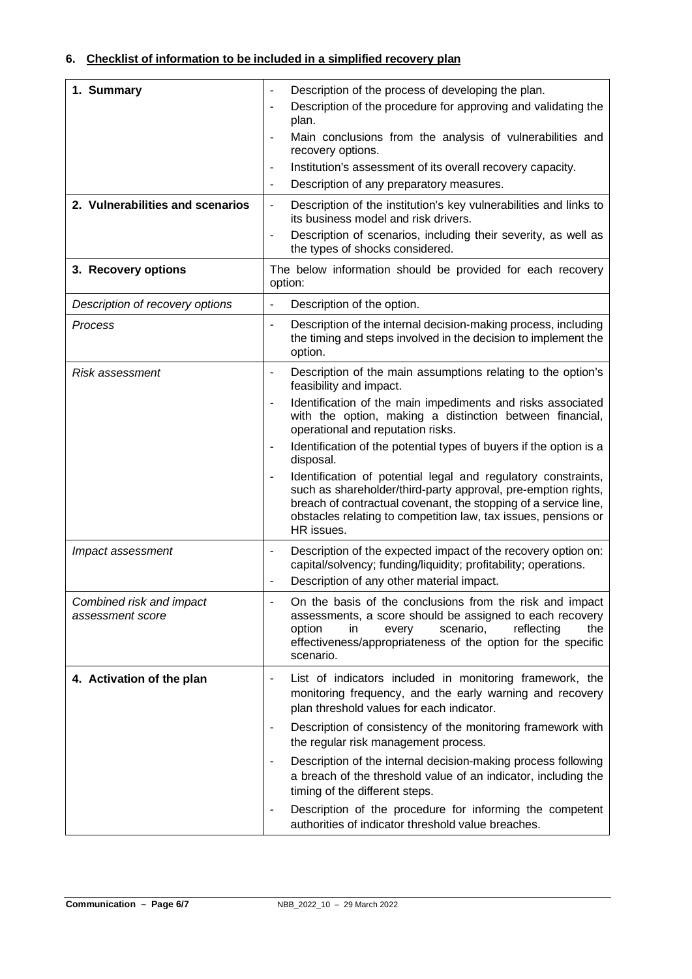# **6. Checklist of information to be included in a simplified recovery plan**

| 1. Summary<br>2. Vulnerabilities and scenarios | Description of the process of developing the plan.<br>Description of the procedure for approving and validating the<br>-<br>plan.<br>Main conclusions from the analysis of vulnerabilities and<br>٠<br>recovery options.<br>Institution's assessment of its overall recovery capacity.<br>-<br>Description of any preparatory measures.<br>٠<br>Description of the institution's key vulnerabilities and links to<br>$\overline{\phantom{a}}$<br>its business model and risk drivers.<br>Description of scenarios, including their severity, as well as<br>ä,<br>the types of shocks considered.                                                                      |
|------------------------------------------------|-----------------------------------------------------------------------------------------------------------------------------------------------------------------------------------------------------------------------------------------------------------------------------------------------------------------------------------------------------------------------------------------------------------------------------------------------------------------------------------------------------------------------------------------------------------------------------------------------------------------------------------------------------------------------|
| 3. Recovery options                            | The below information should be provided for each recovery<br>option:                                                                                                                                                                                                                                                                                                                                                                                                                                                                                                                                                                                                 |
| Description of recovery options                | Description of the option.<br>÷                                                                                                                                                                                                                                                                                                                                                                                                                                                                                                                                                                                                                                       |
| Process                                        | Description of the internal decision-making process, including<br>$\overline{a}$<br>the timing and steps involved in the decision to implement the<br>option.                                                                                                                                                                                                                                                                                                                                                                                                                                                                                                         |
| <b>Risk assessment</b>                         | Description of the main assumptions relating to the option's<br>$\overline{\phantom{a}}$<br>feasibility and impact.<br>Identification of the main impediments and risks associated<br>٠<br>with the option, making a distinction between financial,<br>operational and reputation risks.<br>Identification of the potential types of buyers if the option is a<br>disposal.<br>Identification of potential legal and regulatory constraints,<br>-<br>such as shareholder/third-party approval, pre-emption rights,<br>breach of contractual covenant, the stopping of a service line,<br>obstacles relating to competition law, tax issues, pensions or<br>HR issues. |
| Impact assessment                              | Description of the expected impact of the recovery option on:<br>۰<br>capital/solvency; funding/liquidity; profitability; operations.<br>Description of any other material impact.<br>-                                                                                                                                                                                                                                                                                                                                                                                                                                                                               |
| Combined risk and impact<br>assessment score   | On the basis of the conclusions from the risk and impact<br>assessments, a score should be assigned to each recovery<br>option<br>scenario,<br>reflecting<br>in<br>every<br>the<br>effectiveness/appropriateness of the option for the specific<br>scenario.                                                                                                                                                                                                                                                                                                                                                                                                          |
| 4. Activation of the plan                      | List of indicators included in monitoring framework, the<br>-<br>monitoring frequency, and the early warning and recovery<br>plan threshold values for each indicator.<br>Description of consistency of the monitoring framework with<br>۰<br>the regular risk management process.<br>Description of the internal decision-making process following<br>$\overline{a}$<br>a breach of the threshold value of an indicator, including the<br>timing of the different steps.<br>Description of the procedure for informing the competent<br>٠<br>authorities of indicator threshold value breaches.                                                                      |